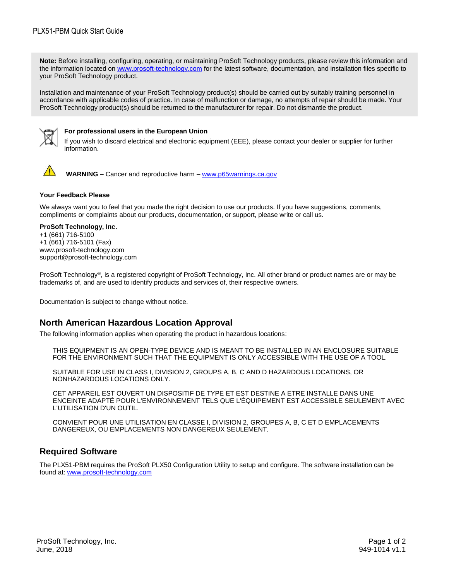**Note:** Before installing, configuring, operating, or maintaining ProSoft Technology products, please review this information and the information located on [www.prosoft-technology.com](http://www.prosoft-technology.com/) for the latest software, documentation, and installation files specific to your ProSoft Technology product.

Installation and maintenance of your ProSoft Technology product(s) should be carried out by suitably training personnel in accordance with applicable codes of practice. In case of malfunction or damage, no attempts of repair should be made. Your ProSoft Technology product(s) should be returned to the manufacturer for repair. Do not dismantle the product.



### **For professional users in the European Union**

If you wish to discard electrical and electronic equipment (EEE), please contact your dealer or supplier for further information.



 **WARNING –** Cancer and reproductive harm – [www.p65warnings.ca.gov](https://www.p65warnings.ca.gov/)

#### **Your Feedback Please**

We always want you to feel that you made the right decision to use our products. If you have suggestions, comments, compliments or complaints about our products, documentation, or support, please write or call us.

#### **ProSoft Technology, Inc.**

+1 (661) 716-5100 +1 (661) 716-5101 (Fax) www.prosoft-technology.com support@prosoft-technology.com

ProSoft Technology®, is a registered copyright of ProSoft Technology, Inc. All other brand or product names are or may be trademarks of, and are used to identify products and services of, their respective owners.

Documentation is subject to change without notice.

## **North American Hazardous Location Approval**

The following information applies when operating the product in hazardous locations:

THIS EQUIPMENT IS AN OPEN-TYPE DEVICE AND IS MEANT TO BE INSTALLED IN AN ENCLOSURE SUITABLE FOR THE ENVIRONMENT SUCH THAT THE EQUIPMENT IS ONLY ACCESSIBLE WITH THE USE OF A TOOL.

SUITABLE FOR USE IN CLASS I, DIVISION 2, GROUPS A, B, C AND D HAZARDOUS LOCATIONS, OR NONHAZARDOUS LOCATIONS ONLY.

CET APPAREIL EST OUVERT UN DISPOSITIF DE TYPE ET EST DESTINE A ETRE INSTALLE DANS UNE ENCEINTE ADAPTÉ POUR L'ENVIRONNEMENT TELS QUE L'ÉQUIPEMENT EST ACCESSIBLE SEULEMENT AVEC L'UTILISATION D'UN OUTIL.

CONVIENT POUR UNE UTILISATION EN CLASSE I, DIVISION 2, GROUPES A, B, C ET D EMPLACEMENTS DANGEREUX, OU EMPLACEMENTS NON DANGEREUX SEULEMENT.

## **Required Software**

The PLX51-PBM requires the ProSoft PLX50 Configuration Utility to setup and configure. The software installation can be found at: [www.prosoft-technology.com](http://www.prosoft-technology.com/)